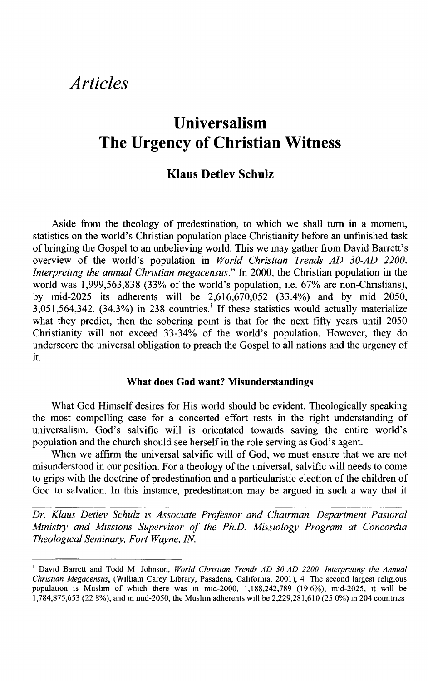# *Articles*

# **Universalism The Urgency of Christian Witness**

# **Klaus Detlev Schulz**

Aside from the theology of predestination, to which we shall turn in a moment, statistics on the world's Christian population place Christianity before an unfinished task of bringing the Gospel to an unbelieving world. This we may gather from David Barrett's overview of the world's population in *World Christian Trends AD 30-AD 2200. Interpreting the annual Christian megacensus.*" In 2000, the Christian population in the world was 1,999,563,838 (33% of the world's population, i.e. 67% are non-Christians), by mid-2025 its adherents will be 2,616,670,052 (33.4%) and by mid 2050,  $3,051,564,342.$  (34.3%) in 238 countries.<sup>1</sup> If these statistics would actually materialize what they predict, then the sobering point is that for the next fifty years until 2050 Christianity will not exceed 33-34% of the world's population. However, they do underscore the universal obligation to preach the Gospel to all nations and the urgency of it.

#### **What does God want? Misunderstandings**

What God Himself desires for His world should be evident. Theologically speaking the most compelling case for a concerted effort rests in the right understanding of universalism. God's salvific will is orientated towards saving the entire world's population and the church should see herself in the role serving as God's agent.

When we affirm the universal salvific will of God, we must ensure that we are not misunderstood in our position. For a theology of the universal, salvific will needs to come to grips with the doctrine of predestination and a particularistic election of the children of God to salvation. In this instance, predestination may be argued in such a way that it

*Dr. Klaus Detlev Schulz is Associate Professor and Chairman, Department Pastoral Ministry and Missions Supervisor of the Ph.D. Missiology Program at Concordia Theological Seminary, Fort Wayne, IN.* 

<sup>&</sup>lt;sup>1</sup> David Barrett and Todd M Johnson, World Christian Trends AD 30-AD 2200 Interpreting the Annual *Christian Megacensusx* (William Carey Library, Pasadena, California, 2001), 4 The second largest religious population is Muslim of which there was in mid-2000, 1,188,242,789 (19 6%), mid-2025, it will be 1,784,875,653 (22 8%), and in mid-2050, the Muslim adherents will be 2,229,281,610 (25 0%) in 204 countries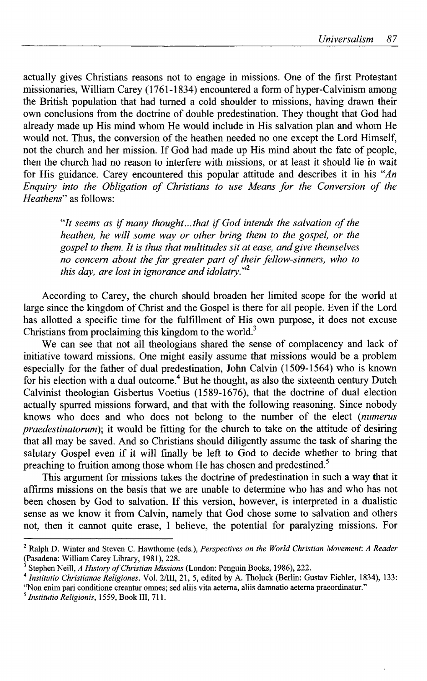actually gives Christians reasons not to engage in missions. One of the first Protestant missionaries, William Carey (1761-1834) encountered a form of hyper-Calvinism among the British population that had turned a cold shoulder to missions, having drawn their own conclusions from the doctrine of double predestination. They thought that God had already made up His mind whom He would include in His salvation plan and whom He would not. Thus, the conversion of the heathen needed no one except the Lord Himself, not the church and her mission. If God had made up His mind about the fate of people, then the church had no reason to interfere with missions, or at least it should lie in wait for His guidance. Carey encountered this popular attitude and describes it in his *"An Enquiry into the Obligation of Christians to use Means for the Conversion of the Heathens"* as follows:

*"It seems as if many thought... that if God intends the salvation of the heathen, he will some way or other bring them to the gospel, or the gospel to them. It is thus that multitudes sit at ease, and give themselves no concern about the far greater part of their fellow-sinners, who to this day, are lost in ignorance and idolatry."* 

According to Carey, the church should broaden her limited scope for the world at large since the kingdom of Christ and the Gospel is there for all people. Even if the Lord has allotted a specific time for the fulfillment of His own purpose, it does not excuse Christians from proclaiming this kingdom to the world.<sup>3</sup>

We can see that not all theologians shared the sense of complacency and lack of initiative toward missions. One might easily assume that missions would be a problem especially for the father of dual predestination, John Calvin (1509-1564) who is known for his election with a dual outcome.<sup>4</sup> But he thought, as also the sixteenth century Dutch Calvinist theologian Gisbertus Voetius (1589-1676), that the doctrine of dual election actually spurred missions forward, and that with the following reasoning. Since nobody knows who does and who does not belong to the number of the elect *{numerus praedestinatorum*); it would be fitting for the church to take on the attitude of desiring that all may be saved. And so Christians should diligently assume the task of sharing the salutary Gospel even if it will finally be left to God to decide whether to bring that preaching to fruition among those whom He has chosen and predestined.<sup>5</sup>

This argument for missions takes the doctrine of predestination in such a way that it affirms missions on the basis that we are unable to determine who has and who has not been chosen by God to salvation. If this version, however, is interpreted in a dualistic sense as we know it from Calvin, namely that God chose some to salvation and others not, then it cannot quite erase, I believe, the potential for paralyzing missions. For

<sup>2</sup> Ralph D. Winter and Steven C. Hawthorne (eds.), *Perspectives on the World Christian Movement: A Reader*  (Pasadena: William Carey Library, 1981), 228.

<sup>3</sup> Stephen Neill, *A History of Christian Missions* (London: Penguin Books, 1986), 222.

<sup>4</sup>  *Institutio Christianae Religiones.* Vol. 2/III, 21,5, edited by A. Tholuck (Berlin: Gustav Eichler, 1834), 133:

<sup>&</sup>quot;Non enim pari conditione creantur omnes; sed aliis vita aeterna, aliis damnatio aeterna praeordinatur."

<sup>5</sup>  *Institutio Religionis,* 1559, Book III, 711.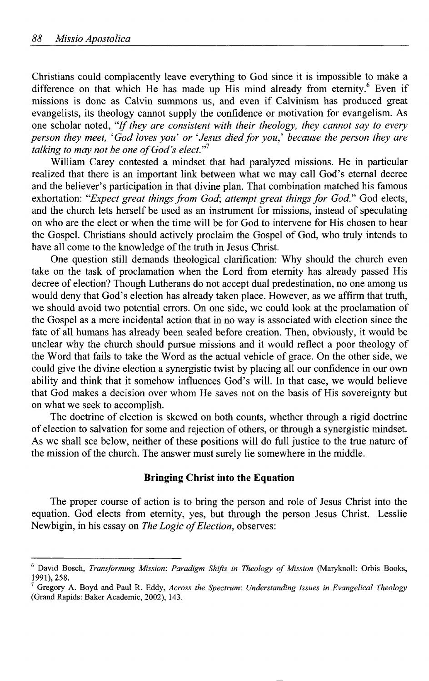Christians could complacently leave everything to God since it is impossible to make a difference on that which He has made up His mind already from eternity.<sup>6</sup> Even if missions is done as Calvin summons us, and even if Calvinism has produced great evangelists, its theology cannot supply the confidence or motivation for evangelism. As one scholar noted, *"If they are consistent with their theology, they cannot say to every person they meet, 'God loves you' or 'Jesus died for you,' because the person they are talking to may not be one of God's elect."<sup>1</sup>*

William Carey contested a mindset that had paralyzed missions. He in particular realized that there is an important link between what we may call God's eternal decree and the believer's participation in that divine plan. That combination matched his famous exhortation: *"Expect great things from God; attempt great things for God."* God elects, and the church lets herself be used as an instrument for missions, instead of speculating on who are the elect or when the time will be for God to intervene for His chosen to hear the Gospel. Christians should actively proclaim the Gospel of God, who truly intends to have all come to the knowledge of the truth in Jesus Christ.

One question still demands theological clarification: Why should the church even take on the task of proclamation when the Lord from eternity has already passed His decree of election? Though Lutherans do not accept dual predestination, no one among us would deny that God's election has already taken place. However, as we affirm that truth, we should avoid two potential errors. On one side, we could look at the proclamation of the Gospel as a mere incidental action that in no way is associated with election since the fate of all humans has already been sealed before creation. Then, obviously, it would be unclear why the church should pursue missions and it would reflect a poor theology of the Word that fails to take the Word as the actual vehicle of grace. On the other side, we could give the divine election a synergistic twist by placing all our confidence in our own ability and think that it somehow influences God's will. In that case, we would believe that God makes a decision over whom He saves not on the basis of His sovereignty but on what we seek to accomplish.

The doctrine of election is skewed on both counts, whether through a rigid doctrine of election to salvation for some and rejection of others, or through a synergistic mindset. As we shall see below, neither of these positions will do full justice to the true nature of the mission of the church. The answer must surely lie somewhere in the middle.

#### **Bringing Christ into the Equation**

The proper course of action is to bring the person and role of Jesus Christ into the equation. God elects from eternity, yes, but through the person Jesus Christ. Lesslie Newbigin, in his essay on *The Logic of Election,* observes:

David Bosch, *Transforming Mission: Paradigm Shifts in Theology of Mission* (Maryknoll: Orbis Books, 1991), 258.

Gregory A. Boyd and Paul R. Eddy, *Across the Spectrum: Understanding Issues in Evangelical Theology*  (Grand Rapids: Baker Academic, 2002), 143.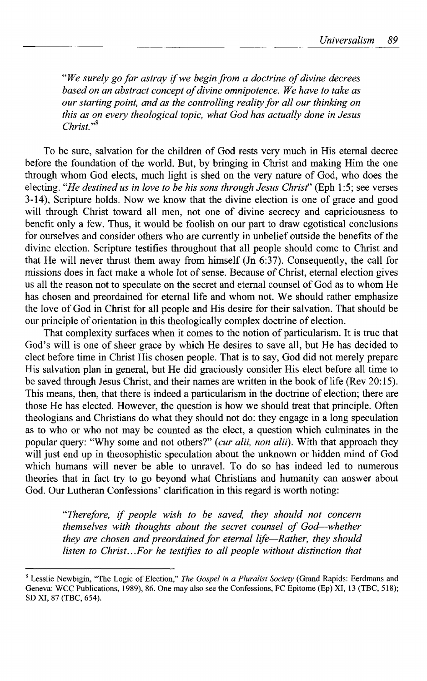*"We surely go far astray if we begin from a doctrine of divine decrees based on an abstract concept of divine omnipotence. We have to take as our starting point, and as the controlling reality for all our thinking on this as on every theological topic, what God has actually done in Jesus Christ."\** 

To be sure, salvation for the children of God rests very much in His eternal decree before the foundation of the world. But, by bringing in Christ and making Him the one through whom God elects, much light is shed on the very nature of God, who does the electing. "He destined us in love to be his sons through Jesus Christ" (Eph 1:5; see verses 3-14), Scripture holds. Now we know that the divine election is one of grace and good will through Christ toward all men, not one of divine secrecy and capriciousness to benefit only a few. Thus, it would be foolish on our part to draw egotistical conclusions for ourselves and consider others who are currently in unbelief outside the benefits of the divine election. Scripture testifies throughout that all people should come to Christ and that He will never thrust them away from himself (Jn 6:37). Consequently, the call for missions does in fact make a whole lot of sense. Because of Christ, eternal election gives us all the reason not to speculate on the secret and eternal counsel of God as to whom He has chosen and preordained for eternal life and whom not. We should rather emphasize the love of God in Christ for all people and His desire for their salvation. That should be our principle of orientation in this theologically complex doctrine of election.

That complexity surfaces when it comes to the notion of particularism. It is true that God's will is one of sheer grace by which He desires to save all, but He has decided to elect before time in Christ His chosen people. That is to say, God did not merely prepare His salvation plan in general, but He did graciously consider His elect before all time to be saved through Jesus Christ, and their names are written in the book of life (Rev 20:15). This means, then, that there is indeed a particularism in the doctrine of election; there are those He has elected. However, the question is how we should treat that principle. Often theologians and Christians do what they should not do: they engage in a long speculation as to who or who not may be counted as the elect, a question which culminates in the popular query: "Why some and not others?" *{cur alii, non alii).* With that approach they will just end up in theosophistic speculation about the unknown or hidden mind of God which humans will never be able to unravel. To do so has indeed led to numerous theories that in fact try to go beyond what Christians and humanity can answer about God. Our Lutheran Confessions' clarification in this regard is worth noting:

> *"Therefore, if people wish to be saved, they should not concern themselves with thoughts about the secret counsel of God—whether they are chosen and preordained for eternal life*—*Rather, they should*  listen to Christ...For he testifies to all people without distinction that

<sup>8</sup> Lesslie Newbigin, "The Logic of Election," *The Gospel in a Pluralist Society* (Grand Rapids: Eerdmans and Geneva: WCC Publications, 1989), 86. One may also see the Confessions, FC Epitome (Ep) XI, 13 (TBC, 518); SD XI, 87 (TBC, 654).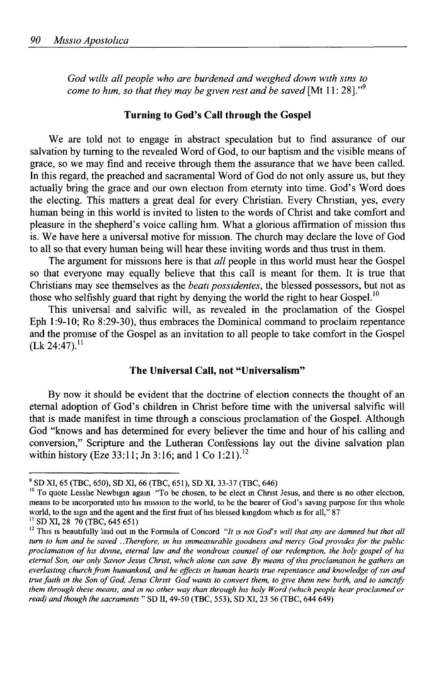*God wills all people who are burdened and weighed down with sins to come to him, so that they may be given rest and be saved* [Mt 11: 28]."<sup>9</sup>

#### **Turning to God's Call through the Gospel**

We are told not to engage in abstract speculation but to find assurance of our salvation by turning to the revealed Word of God, to our baptism and the visible means of grace, so we may find and receive through them the assurance that we have been called. In this regard, the preached and sacramental Word of God do not only assure us, but they actually bring the grace and our own election from eternity into time. God's Word does the electing. This matters a great deal for every Christian. Every Christian, yes, every human being in this world is invited to listen to the words of Christ and take comfort and pleasure in the shepherd's voice calling him. What a glorious affirmation of mission this is. We have here a universal motive for mission. The church may declare the love of God to all so that every human being will hear these inviting words and thus trust in them.

The argument for missions here is that *all* people in this world must hear the Gospel so that everyone may equally believe that this call is meant for them. It is true that Christians may see themselves as the *beati possidentes,* the blessed possessors, but not as those who selfishly guard that right by denying the world the right to hear Gospel.<sup>10</sup>

This universal and salvific will, as revealed in the proclamation of the Gospel Eph 1:9-10; Ro 8:29-30), thus embraces the Dominical command to proclaim repentance and the promise of the Gospel as an invitation to all people to take comfort in the Gospel  $(Lk 24:47).$ <sup>11</sup>

## **The Universal Call, not "Universalism"**

By now it should be evident that the doctrine of election connects the thought of an eternal adoption of God's children in Christ before time with the universal salvific will that is made manifest in time through a conscious proclamation of the Gospel. Although God "knows and has determined for every believer the time and hour of his calling and conversion," Scripture and the Lutheran Confessions lay out the divine salvation plan within history (Eze 33:11; Jn 3:16; and 1 Co 1:21).<sup>12</sup>

<sup>9</sup> SD XI, 65 (TBC, 650), SD XI, 66 (TBC, 651), SD XI, 33-37 (TBC, 646)

<sup>&</sup>lt;sup>10</sup> To quote Lesslie Newbigin again "To be chosen, to be elect in Christ Jesus, and there is no other election, means to be incorporated into his mission to the world, to be the bearer of God's saving purpose for this whole world, to the sign and the agent and the first fruit of his blessed kingdom which is for all," 87

 $^{11}$  SD XI, 28 70 (TBC, 645 651)

<sup>&</sup>lt;sup>12</sup> This is beautifully laid out in the Formula of Concord "It is not God's will that any are damned but that all *turn to him and be saved ..Therefore, in his immeasurable goodness and mercy God provides for the public proclamation of his divine, eternal law and the wondrous counsel of our redemption, the holy gospel of his eternal Son, our only Savior Jesus Christ, which alone can save By means of this proclamation he gathers an everlasting church from humankind, and he effects in human hearts true repentance and knowledge of sin and true faith in the Son of God, Jesus Christ God wants to convert them, to give them new birth, and to sanctify them through these means, and in no other way than through his holy Word (which people hear proclaimed or read) and though the sacraments* " SD II, 49-50 (TBC, 553), SD XI, 23 56 (TBC, 644 649)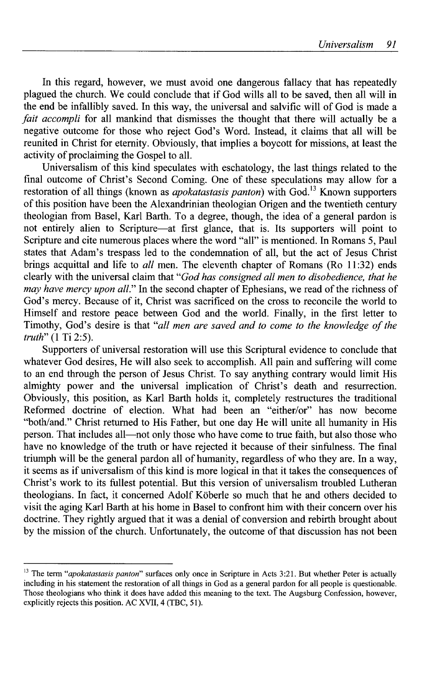In this regard, however, we must avoid one dangerous fallacy that has repeatedly plagued the church. We could conclude that if God wills all to be saved, then all will in the end be infallibly saved. In this way, the universal and salvific will of God is made a *fait accompli* for all mankind that dismisses the thought that there will actually be a negative outcome for those who reject God's Word. Instead, it claims that all will be reunited in Christ for eternity. Obviously, that implies a boycott for missions, at least the activity of proclaiming the Gospel to all.

Universalism of this kind speculates with eschatology, the last things related to the final outcome of Christ's Second Coming. One of these speculations may allow for a restoration of all things (known as *apokatastasis panton*) with God.<sup>13</sup> Known supporters of this position have been the Alexandrinian theologian Origen and the twentieth century theologian from Basel, Karl Barth. To a degree, though, the idea of a general pardon is not entirely alien to Scripture—at first glance, that is. Its supporters will point to Scripture and cite numerous places where the word "all" is mentioned. In Romans 5, Paul states that Adam's trespass led to the condemnation of all, but the act of Jesus Christ brings acquittal and life to *all* men. The eleventh chapter of Romans (Ro 11:32) ends clearly with the universal claim that *"God has consigned all men to disobedience, that he may have mercy upon all."* In the second chapter of Ephesians, we read of the richness of God's mercy. Because of it, Christ was sacrificed on the cross to reconcile the world to Himself and restore peace between God and the world. Finally, in the first letter to Timothy, God's desire is that *"all men are saved and to come to the knowledge of the truth"* (1 Ti 2:5).

Supporters of universal restoration will use this Scriptural evidence to conclude that whatever God desires, He will also seek to accomplish. All pain and suffering will come to an end through the person of Jesus Christ. To say anything contrary would limit His almighty power and the universal implication of Christ's death and resurrection. Obviously, this position, as Karl Barth holds it, completely restructures the traditional Reformed doctrine of election. What had been an "either/or" has now become "both/and." Christ returned to His Father, but one day He will unite all humanity in His person. That includes all—not only those who have come to true faith, but also those who have no knowledge of the truth or have rejected it because of their sinfulness. The final triumph will be the general pardon all of humanity, regardless of who they are. In a way, it seems as if universalism of this kind is more logical in that it takes the consequences of Christ's work to its fullest potential. But this version of universalism troubled Lutheran theologians. In fact, it concerned Adolf Köberle so much that he and others decided to visit the aging Karl Barth at his home in Basel to confront him with their concern over his doctrine. They rightly argued that it was a denial of conversion and rebirth brought about by the mission of the church. Unfortunately, the outcome of that discussion has not been

<sup>&</sup>lt;sup>13</sup> The term "*apokatastasis panton*" surfaces only once in Scripture in Acts 3:21. But whether Peter is actually including in his statement the restoration of all things in God as a general pardon for all people is questionable. Those theologians who think it does have added this meaning to the text. The Augsburg Confession, however, explicitly rejects this position. AC XVII, 4 (TBC, 51).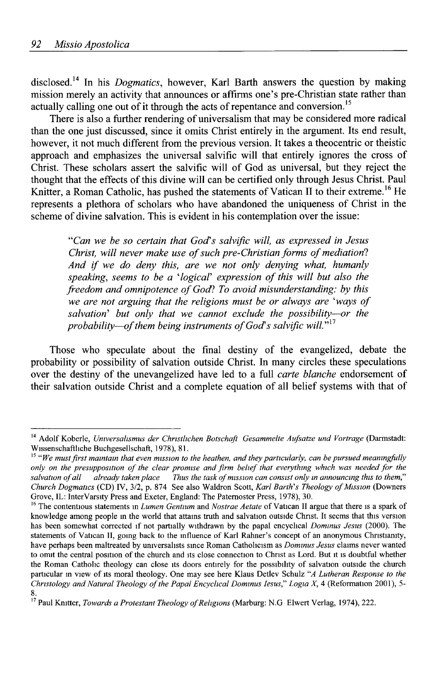disclosed.<sup>14</sup> In his *Dogmatics,* however, Karl Barth answers the question by making mission merely an activity that announces or affirms one's pre-Christian state rather than actually calling one out of it through the acts of repentance and conversion.<sup>15</sup>

There is also a further rendering of universalism that may be considered more radical than the one just discussed, since it omits Christ entirely in the argument. Its end result, however, it not much different from the previous version. It takes a theocentric or theistic approach and emphasizes the universal salvific will that entirely ignores the cross of Christ. These scholars assert the salvific will of God as universal, but they reject the thought that the effects of this divine will can be certified only through Jesus Christ. Paul Knitter, a Roman Catholic, has pushed the statements of Vatican II to their extreme.<sup>16</sup> He represents a plethora of scholars who have abandoned the uniqueness of Christ in the scheme of divine salvation. This is evident in his contemplation over the issue:

*"Can we be so certain that God's salvific will, as expressed in Jesus Christ, will never make use of such pre-Christian forms of mediation! And if we do deny this, are we not only denying what, humanly speaking, seems to be a 'logical' expression of this will but also the freedom and omnipotence of God? To avoid misunderstanding: by this we are not arguing that the religions must be or always are 'ways of salvation' but only that we cannot exclude the possibility*—*or the probability*—*of them being instruments of God's salvific will."* 

Those who speculate about the final destiny of the evangelized, debate the probability or possibility of salvation outside Christ. In many circles these speculations over the destiny of the unevangelized have led to a full *carte blanche* endorsement of their salvation outside Christ and a complete equation of all belief systems with that of

<sup>14</sup> Adolf Koberle, *Universahsmus der Christlichen Botschaft Gesammelte Aufsatze und Vortrage* (Darmstadt: Wissenschaftliche Buchgesellschaft, 1978), 81.

<sup>&</sup>lt;sup>15 a</sup> We must first maintain that even mission to the heathen, and they particularly, can be pursued meaningfully *only on the presupposition of the clear promise and firm belief that everything which was needed for the salvation of all already taken place Thus the task of mission can consist only in announcing this to them," Church Dogmatics* (CD) IV, 3/2, p. 874 See also Waldron Scott, *Karl Barth's Theology of Mission* (Downers Grove, IL: Inter Varsity Press and Exeter, England: The Paternoster Press, 1978), 30.

<sup>16</sup> The contentious statements in *Lumen Gentium* and *Nostrae Aetate* of Vatican II argue that there is a spark of knowledge among people in the world that attains truth and salvation outside Christ. It seems that this version has been somewhat corrected if not partially withdrawn by the papal encyclical *Dominus Jesus* (2000). The statements of Vatican II, going back to the influence of Karl Rahner's concept of an anonymous Christianity, have perhaps been maltreated by universahsts since Roman Catholicism as *Dominus Jesus* claims never wanted to omit the central position of the church and its close connection to Christ as Lord. But it is doubtful whether the Roman Catholic theology can close its doors entirely for the possibility of salvation outside the church particular in view of its moral theology. One may see here Klaus Detlev Schulz *"A Lutheran Response to the Christology and Natural Theology of the Papal Encyclical Dominus Iesus" Logia X,* 4 (Reformation 2001), 5-

<sup>8.</sup>  17 Paul Knitter, *Towards a Protestant Theology of Religions* (Marburg: N.G Elwert Verlag, 1974), 222.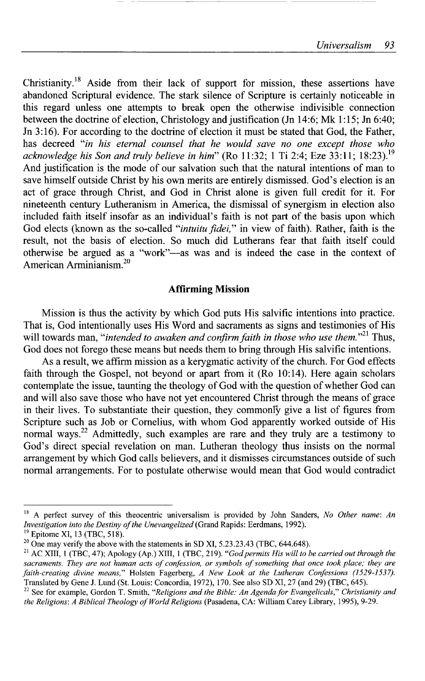Christianity.<sup>18</sup> Aside from their lack of support for mission, these assertions have abandoned Scriptural evidence. The stark silence of Scripture is certainly noticeable in this regard unless one attempts to break open the otherwise indivisible connection between the doctrine of election, Christology and justification (Jn 14:6; Mk 1:15; Jn 6:40; Jn 3:16). For according to the doctrine of election it must be stated that God, the Father, has decreed *"in his eternal counsel that he would save no one except those who acknowledge his Son and truly believe in him"* (Ro 11:32; 1 Ti 2:4; Eze 33:11; 18:23).<sup>19</sup> And justification is the mode of our salvation such that the natural intentions of man to save himself outside Christ by his own merits are entirely dismissed. God's election is an act of grace through Christ, and God in Christ alone is given full credit for it. For nineteenth century Lutheranism in America, the dismissal of synergism in election also included faith itself insofar as an individual's faith is not part of the basis upon which God elects (known as the so-called *"intuitu fidei,"* in view of faith). Rather, faith is the result, not the basis of election. So much did Lutherans fear that faith itself could otherwise be argued as a "work"—as was and is indeed the case in the context of American Arminianism.<sup>20</sup>

## **Affirming Mission**

Mission is thus the activity by which God puts His salvific intentions into practice. That is, God intentionally uses His Word and sacraments as signs and testimonies of His will towards man, *"intended to awaken and confirm faith in those who use them."<sup>21</sup>* Thus, God does not forego these means but needs them to bring through His salvific intentions.

As a result, we affirm mission as a kerygmatic activity of the church. For God effects faith through the Gospel, not beyond or apart from it (Ro 10:14). Here again scholars contemplate the issue, taunting the theology of God with the question of whether God can and will also save those who have not yet encountered Christ through the means of grace in their lives. To substantiate their question, they commonly give a list of figures from Scripture such as Job or Cornelius, with whom God apparently worked outside of His normal ways.<sup>22</sup> Admittedly, such examples are rare and they truly are a testimony to God's direct special revelation on man. Lutheran theology thus insists on the normal arrangement by which God calls believers, and it dismisses circumstances outside of such normal arrangements. For to postulate otherwise would mean that God would contradict

<sup>&</sup>lt;sup>18</sup> A perfect survey of this theocentric universalism is provided by John Sanders, *No Other name: An Investigation into the Destiny of the Unevangelized* (Grand Rapids: Eerdmans, 1992).

<sup>&</sup>lt;sup>19</sup> Epitome XI, 13 (TBC, 518).

<sup>&</sup>lt;sup>20</sup> One may verify the above with the statements in SD XI, 5.23.23.43 (TBC, 644.648).

<sup>&</sup>lt;sup>21</sup> AC XIII, 1 (TBC, 47); Apology (Ap.) XIII, 1 (TBC, 219). *"God permits His will to be carried out through the sacraments. They are not human acts of confession, or symbols of something that once took place; they are*  faith-creating divine means," Holsten Fagerberg, A New Look at the Lutheran Confessions (1529-1537). Translated by Gene J. Lund (St. Louis: Concordia, 1972), 170. See also SD XI, 27 (and 29) (TBC, 645).

<sup>&</sup>lt;sup>22</sup> See for example, Gordon T. Smith, "Religions and the Bible: An Agenda for Evangelicals," Christianity and *the Religions: A Biblical Theology of World Religions* (Pasadena, CA: William Carey Library, 1995), 9-29.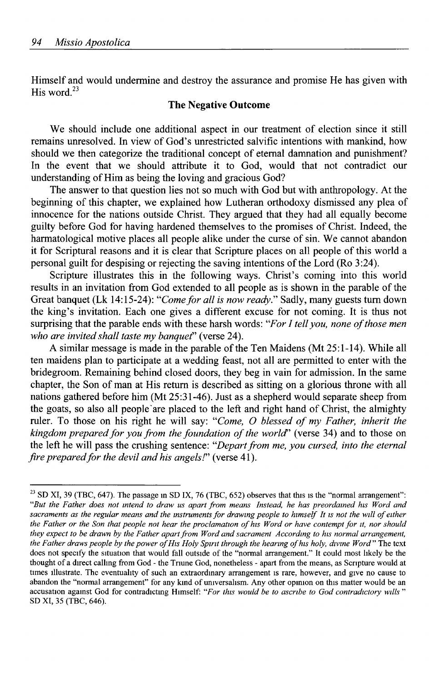Himself and would undermine and destroy the assurance and promise He has given with His word. $^{23}$ 

# **The Negative Outcome**

We should include one additional aspect in our treatment of election since it still remains unresolved. In view of God's unrestricted salvific intentions with mankind, how should we then categorize the traditional concept of eternal damnation and punishment? In the event that we should attribute it to God, would that not contradict our understanding of Him as being the loving and gracious God?

The answer to that question lies not so much with God but with anthropology. At the beginning of this chapter, we explained how Lutheran orthodoxy dismissed any plea of innocence for the nations outside Christ. They argued that they had all equally become guilty before God for having hardened themselves to the promises of Christ. Indeed, the harmatological motive places all people alike under the curse of sin. We cannot abandon it for Scriptural reasons and it is clear that Scripture places on all people of this world a personal guilt for despising or rejecting the saving intentions of the Lord (Ro 3:24).

Scripture illustrates this in the following ways. Christ's coming into this world results in an invitation from God extended to all people as is shown in the parable of the Great banquet (Lk 14:15-24): *"Come for all is now ready."* Sadly, many guests turn down the king's invitation. Each one gives a different excuse for not coming. It is thus not surprising that the parable ends with these harsh words: *"For I tell you, none of those men who are invited shall taste my banquet"* (verse 24).

A similar message is made in the parable of the Ten Maidens (Mt 25:1-14). While all ten maidens plan to participate at a wedding feast, not all are permitted to enter with the bridegroom. Remaining behind closed doors, they beg in vain for admission. In the same chapter, the Son of man at His return is described as sitting on a glorious throne with all nations gathered before him (Mt 25:31-46). Just as a shepherd would separate sheep from the goats, so also all people'are placed to the left and right hand of Christ, the almighty ruler. To those on his right he will say: *"Come, O blessed of my Father, inherit the kingdom prepared for you from the foundation of the world'* (verse 34) and to those on the left he will pass the crushing sentence: *"Depart from me, you cursed, into the eternal fire prepared for the devil and his angels!"* (verse 41).

<sup>&</sup>lt;sup>23</sup> SD XI, 39 (TBC, 647). The passage in SD IX, 76 (TBC, 652) observes that this is the "normal arrangement": *"But the Father does not intend to draw us apart from means Instead, he has preordained his Word and*  sacraments as the regular means and the instruments for drawing people to himself It is not the will of either *the Father or the Son that people not hear the proclamation of his Word or have contempt for it, nor should they expect to be drawn by the Father apart from Word and sacrament According to his normal arrangement, the Father draws people by the power of His Holy Spirit through the hearing of his holy, divine Word"* The text does not specify the situation that would fall outside of the "normal arrangement." It could most likely be the thought of a direct calling from God - the Triune God, nonetheless - apart from the means, as Scripture would at times illustrate. The eventuality of such an extraordinary arrangement is rare, however, and give no cause to abandon the "normal arrangement" for any kind of universalism. Any other opinion on this matter would be an accusation against God for contradicting Himself: *"For this would be to ascribe to God contradictory wills* " SD XI, 35 (TBC, 646).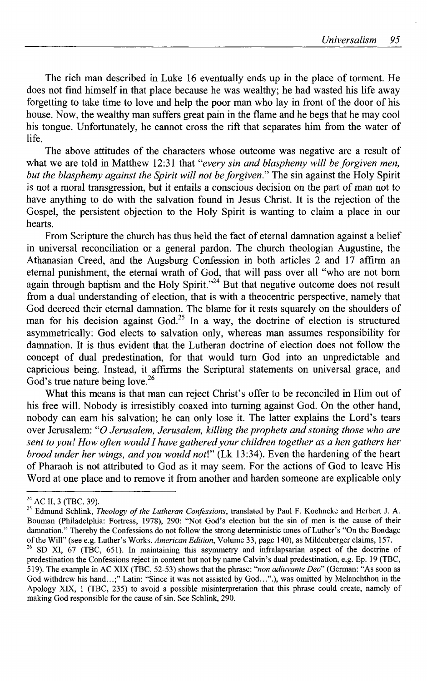The rich man described in Luke 16 eventually ends up in the place of torment. He does not find himself in that place because he was wealthy; he had wasted his life away forgetting to take time to love and help the poor man who lay in front of the door of his house. Now, the wealthy man suffers great pain in the flame and he begs that he may cool his tongue. Unfortunately, he cannot cross the rift that separates him from the water of life.

The above attitudes of the characters whose outcome was negative are a result of what we are told in Matthew 12:31 that *"every sin and blasphemy will be forgiven men, but the blasphemy against the Spirit will not be forgiven."* The sin against the Holy Spirit is not a moral transgression, but it entails a conscious decision on the part of man not to have anything to do with the salvation found in Jesus Christ. It is the rejection of the Gospel, the persistent objection to the Holy Spirit is wanting to claim a place in our hearts.

From Scripture the church has thus held the fact of eternal damnation against a belief in universal reconciliation or a general pardon. The church theologian Augustine, the Athanasian Creed, and the Augsburg Confession in both articles 2 and 17 affirm an eternal punishment, the eternal wrath of God, that will pass over all "who are not born again through baptism and the Holy Spirit."<sup>24</sup> But that negative outcome does not result from a dual understanding of election, that is with a theocentric perspective, namely that God decreed their eternal damnation. The blame for it rests squarely on the shoulders of man for his decision against God.<sup>25</sup> In a way, the doctrine of election is structured asymmetrically: God elects to salvation only, whereas man assumes responsibility for damnation. It is thus evident that the Lutheran doctrine of election does not follow the concept of dual predestination, for that would turn God into an unpredictable and capricious being. Instead, it affirms the Scriptural statements on universal grace, and God's true nature being love.<sup>26</sup>

What this means is that man can reject Christ's offer to be reconciled in Him out of his free will. Nobody is irresistibly coaxed into turning against God. On the other hand, nobody can earn his salvation; he can only lose it. The latter explains the Lord's tears over Jerusalem: *"O Jerusalem, Jerusalem, killing the prophets and stoning those who are sent to you! How often would I have gathered your children together as a hen gathers her brood under her wings, and you would noti"* (Lk 13:34). Even the hardening of the heart of Pharaoh is not attributed to God as it may seem. For the actions of God to leave His Word at one place and to remove it from another and harden someone are explicable only

<sup>&</sup>lt;sup>24</sup> AC II, 3 (TBC, 39).

<sup>25</sup> Edmund Schlink, *Theology of the Lutheran Confessions,* translated by Paul F. Koehneke and Herbert J. A. Bouman (Philadelphia: Fortress, 1978), 290: "Not God's election but the sin of men is the cause of their damnation." Thereby the Confessions do not follow the strong deterministic tones of Luther's "On the Bondage of the Will" (see e.g. Luther's Works. *American Edition,* Volume 33, page 140), as Mildenberger claims, 157. <sup>26</sup> SD XI, 67 (TBC, 651). In maintaining this asymmetry and infralapsarian aspect of the doctrine of predestination the Confessions reject in content but not by name Calvin's dual predestination, e.g. Ep. 19 (TBC,

<sup>519).</sup> The example in AC XIX (TBC, 52-53) shows that the phrase: *"non adiuvante Deo"* (German: "As soon as God withdrew his hand...;" Latin: "Since it was not assisted by God...".), was omitted by Melanchthon in the Apology XIX, 1 (TBC, 235) to avoid a possible misinterpretation that this phrase could create, namely of making God responsible for the cause of sin. See Schlink, 290.